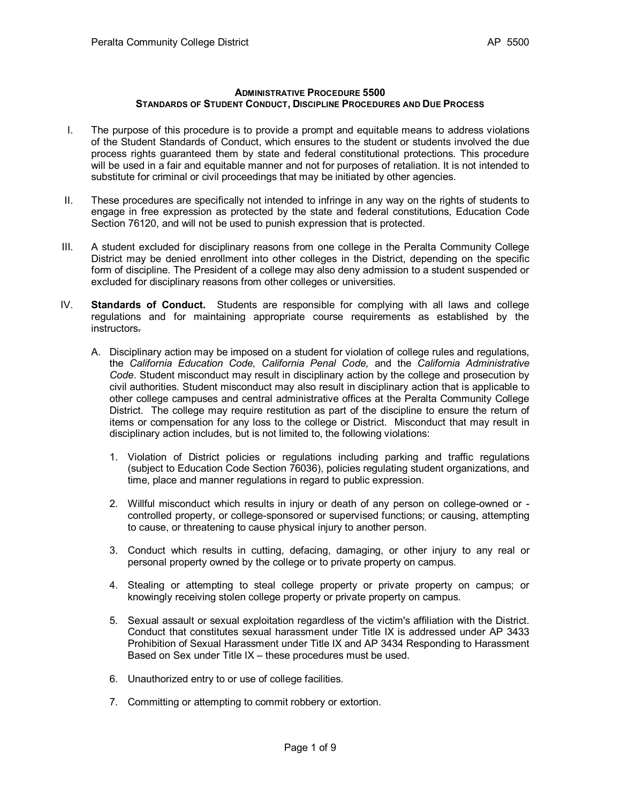## **ADMINISTRATIVE PROCEDURE 5500 STANDARDS OF STUDENT CONDUCT, DISCIPLINE PROCEDURES AND DUE PROCESS**

- I. The purpose of this procedure is to provide a prompt and equitable means to address violations of the Student Standards of Conduct, which ensures to the student or students involved the due process rights guaranteed them by state and federal constitutional protections. This procedure will be used in a fair and equitable manner and not for purposes of retaliation. It is not intended to substitute for criminal or civil proceedings that may be initiated by other agencies.
- II. These procedures are specifically not intended to infringe in any way on the rights of students to engage in free expression as protected by the state and federal constitutions, Education Code Section 76120, and will not be used to punish expression that is protected.
- III. A student excluded for disciplinary reasons from one college in the Peralta Community College District may be denied enrollment into other colleges in the District, depending on the specific form of discipline. The President of a college may also deny admission to a student suspended or excluded for disciplinary reasons from other colleges or universities.
- IV. **Standards of Conduct.** Students are responsible for complying with all laws and college regulations and for maintaining appropriate course requirements as established by the instructors.
	- A. Disciplinary action may be imposed on a student for violation of college rules and regulations, the *California Education Code, California Penal Code,* and the *California Administrative Code*. Student misconduct may result in disciplinary action by the college and prosecution by civil authorities. Student misconduct may also result in disciplinary action that is applicable to other college campuses and central administrative offices at the Peralta Community College District. The college may require restitution as part of the discipline to ensure the return of items or compensation for any loss to the college or District. Misconduct that may result in disciplinary action includes, but is not limited to, the following violations:
		- 1. Violation of District policies or regulations including parking and traffic regulations (subject to Education Code Section 76036), policies regulating student organizations, and time, place and manner regulations in regard to public expression.
		- 2. Willful misconduct which results in injury or death of any person on college-owned or controlled property, or college-sponsored or supervised functions; or causing, attempting to cause, or threatening to cause physical injury to another person.
		- 3. Conduct which results in cutting, defacing, damaging, or other injury to any real or personal property owned by the college or to private property on campus.
		- 4. Stealing or attempting to steal college property or private property on campus; or knowingly receiving stolen college property or private property on campus.
		- 5. Sexual assault or sexual exploitation regardless of the victim's affiliation with the District. Conduct that constitutes sexual harassment under Title IX is addressed under AP 3433 Prohibition of Sexual Harassment under Title IX and AP 3434 Responding to Harassment Based on Sex under Title IX – these procedures must be used.
		- 6. Unauthorized entry to or use of college facilities.
		- 7. Committing or attempting to commit robbery or extortion.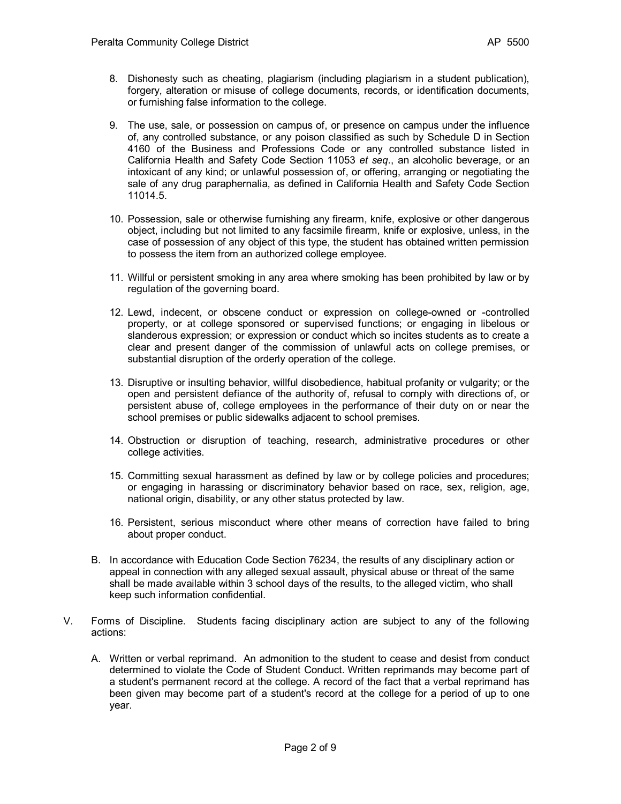- 8. Dishonesty such as cheating, plagiarism (including plagiarism in a student publication), forgery, alteration or misuse of college documents, records, or identification documents, or furnishing false information to the college.
- 9. The use, sale, or possession on campus of, or presence on campus under the influence of, any controlled substance, or any poison classified as such by Schedule D in [Section](http://web2.westlaw.com/find/default.wl?DB=1000199&DocName=CABPS4160&FindType=L&AP=&mt=California&fn=_top&sv=Split&utid=%7bD1E4C96D-8701-4FED-AE96-CE48A444ED96%7d&vr=2.0&rs=WLW5.05)  [4160 of the Business and Professions Code](http://web2.westlaw.com/find/default.wl?DB=1000199&DocName=CABPS4160&FindType=L&AP=&mt=California&fn=_top&sv=Split&utid=%7bD1E4C96D-8701-4FED-AE96-CE48A444ED96%7d&vr=2.0&rs=WLW5.05) or any controlled substance listed in California Health and Safety Code Section 11053 *et seq*., an alcoholic beverage, or an intoxicant of any kind; or unlawful possession of, or offering, arranging or negotiating the sale of any drug paraphernalia, as defined in California Health and Safety Code Section 11014.5.
- 10. Possession, sale or otherwise furnishing any firearm, knife, explosive or other dangerous object, including but not limited to any facsimile firearm, knife or explosive, unless, in the case of possession of any object of this type, the student has obtained written permission to possess the item from an authorized college employee*.*
- 11. Willful or persistent smoking in any area where smoking has been prohibited by law or by regulation of the governing board.
- 12. Lewd, indecent, or obscene conduct or expression on college-owned or -controlled property, or at college sponsored or supervised functions; or engaging in libelous or slanderous expression; or expression or conduct which so incites students as to create a clear and present danger of the commission of unlawful acts on college premises, or substantial disruption of the orderly operation of the college.
- 13. Disruptive or insulting behavior, willful disobedience, habitual profanity or vulgarity; or the open and persistent defiance of the authority of, refusal to comply with directions of, or persistent abuse of, college employees in the performance of their duty on or near the school premises or public sidewalks adjacent to school premises.
- 14. Obstruction or disruption of teaching, research, administrative procedures or other college activities.
- 15. Committing sexual harassment as defined by law or by college policies and procedures; or engaging in harassing or discriminatory behavior based on race, sex, religion, age, national origin, disability, or any other status protected by law.
- 16. Persistent, serious misconduct where other means of correction have failed to bring about proper conduct.
- B. In accordance with Education Code Section 76234, the results of any disciplinary action or appeal in connection with any alleged sexual assault, physical abuse or threat of the same shall be made available within 3 school days of the results, to the alleged victim, who shall keep such information confidential.
- V. Forms of Discipline. Students facing disciplinary action are subject to any of the following actions:
	- A. Written or verbal reprimand. An admonition to the student to cease and desist from conduct determined to violate the Code of Student Conduct. Written reprimands may become part of a student's permanent record at the college. A record of the fact that a verbal reprimand has been given may become part of a student's record at the college for a period of up to one year.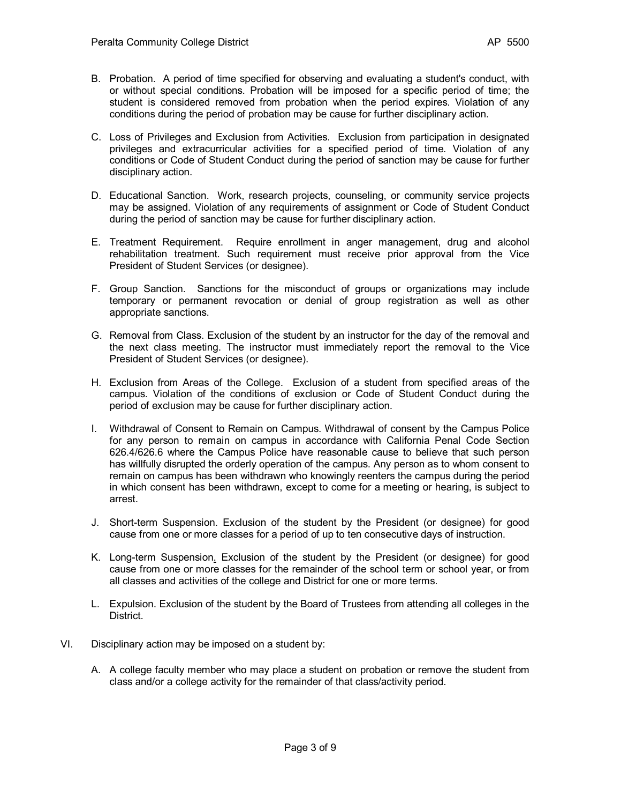- B. Probation. A period of time specified for observing and evaluating a student's conduct, with or without special conditions. Probation will be imposed for a specific period of time; the student is considered removed from probation when the period expires. Violation of any conditions during the period of probation may be cause for further disciplinary action.
- C. Loss of Privileges and Exclusion from Activities. Exclusion from participation in designated privileges and extracurricular activities for a specified period of time. Violation of any conditions or Code of Student Conduct during the period of sanction may be cause for further disciplinary action.
- D. Educational Sanction. Work, research projects, counseling, or community service projects may be assigned. Violation of any requirements of assignment or Code of Student Conduct during the period of sanction may be cause for further disciplinary action.
- E. Treatment Requirement. Require enrollment in anger management, drug and alcohol rehabilitation treatment. Such requirement must receive prior approval from the Vice President of Student Services (or designee).
- F. Group Sanction. Sanctions for the misconduct of groups or organizations may include temporary or permanent revocation or denial of group registration as well as other appropriate sanctions.
- G. Removal from Class. Exclusion of the student by an instructor for the day of the removal and the next class meeting. The instructor must immediately report the removal to the Vice President of Student Services (or designee).
- H. Exclusion from Areas of the College. Exclusion of a student from specified areas of the campus. Violation of the conditions of exclusion or Code of Student Conduct during the period of exclusion may be cause for further disciplinary action.
- I. Withdrawal of Consent to Remain on Campus. Withdrawal of consent by the Campus Police for any person to remain on campus in accordance with California Penal Code Section 626.4/626.6 where the Campus Police have reasonable cause to believe that such person has willfully disrupted the orderly operation of the campus. Any person as to whom consent to remain on campus has been withdrawn who knowingly reenters the campus during the period in which consent has been withdrawn, except to come for a meeting or hearing, is subject to arrest.
- J. Short-term Suspension. Exclusion of the student by the President (or designee) for good cause from one or more classes for a period of up to ten consecutive days of instruction.
- K. Long-term Suspension. Exclusion of the student by the President (or designee) for good cause from one or more classes for the remainder of the school term or school year, or from all classes and activities of the college and District for one or more terms.
- L. Expulsion. Exclusion of the student by the Board of Trustees from attending all colleges in the District.
- VI. Disciplinary action may be imposed on a student by:
	- A. A college faculty member who may place a student on probation or remove the student from class and/or a college activity for the remainder of that class/activity period.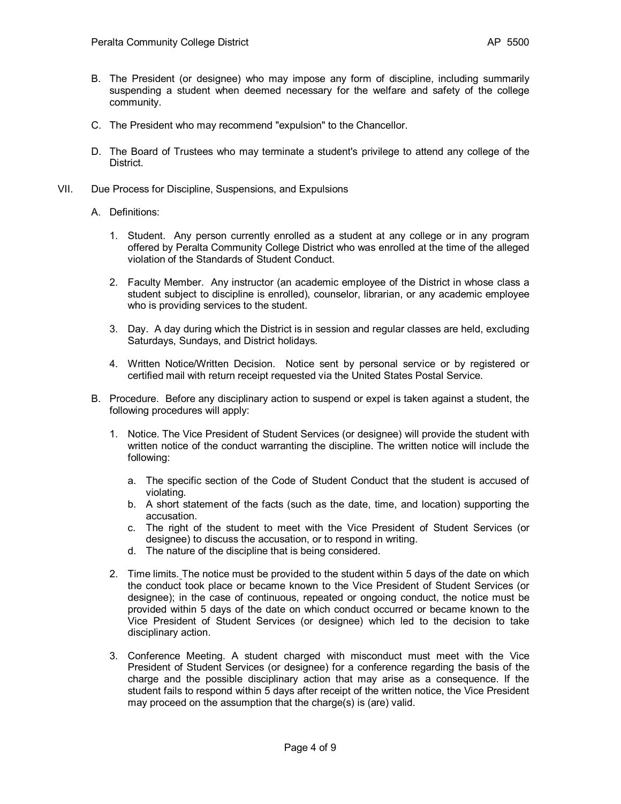- B. The President (or designee) who may impose any form of discipline, including summarily suspending a student when deemed necessary for the welfare and safety of the college community.
- C. The President who may recommend "expulsion" to the Chancellor.
- D. The Board of Trustees who may terminate a student's privilege to attend any college of the District.
- VII. Due Process for Discipline, Suspensions, and Expulsions
	- A. Definitions:
		- 1. Student. Any person currently enrolled as a student at any college or in any program offered by Peralta Community College District who was enrolled at the time of the alleged violation of the Standards of Student Conduct.
		- 2. Faculty Member. Any instructor (an academic employee of the District in whose class a student subject to discipline is enrolled), counselor, librarian, or any academic employee who is providing services to the student.
		- 3. Day. A day during which the District is in session and regular classes are held, excluding Saturdays, Sundays, and District holidays.
		- 4. Written Notice/Written Decision. Notice sent by personal service or by registered or certified mail with return receipt requested via the United States Postal Service.
	- B. Procedure. Before any disciplinary action to suspend or expel is taken against a student, the following procedures will apply:
		- 1. Notice. The Vice President of Student Services (or designee) will provide the student with written notice of the conduct warranting the discipline. The written notice will include the following:
			- a. The specific section of the Code of Student Conduct that the student is accused of violating.
			- b. A short statement of the facts (such as the date, time, and location) supporting the accusation.
			- c. The right of the student to meet with the Vice President of Student Services (or designee) to discuss the accusation, or to respond in writing.
			- d. The nature of the discipline that is being considered.
		- 2. Time limits. The notice must be provided to the student within 5 days of the date on which the conduct took place or became known to the Vice President of Student Services (or designee); in the case of continuous, repeated or ongoing conduct, the notice must be provided within 5 days of the date on which conduct occurred or became known to the Vice President of Student Services (or designee) which led to the decision to take disciplinary action.
		- 3. Conference Meeting. A student charged with misconduct must meet with the Vice President of Student Services (or designee) for a conference regarding the basis of the charge and the possible disciplinary action that may arise as a consequence. If the student fails to respond within 5 days after receipt of the written notice, the Vice President may proceed on the assumption that the charge(s) is (are) valid.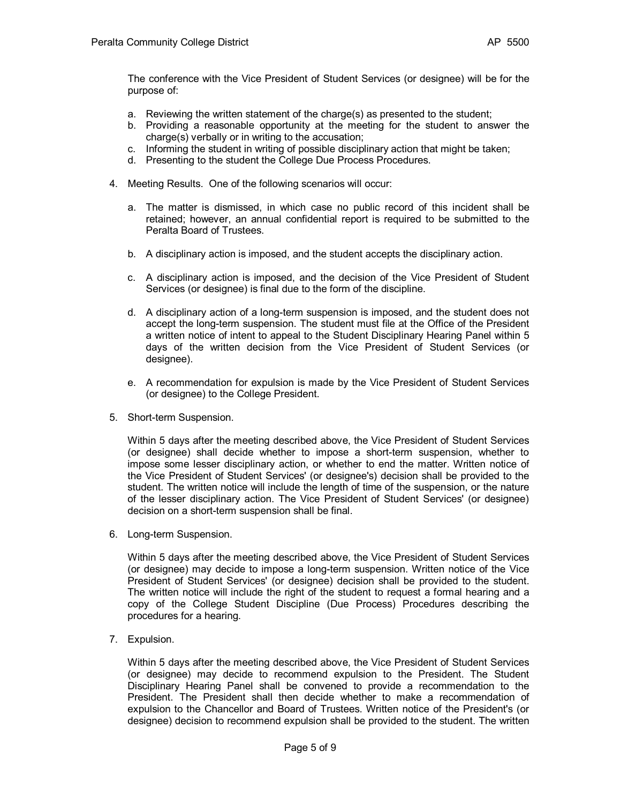The conference with the Vice President of Student Services (or designee) will be for the purpose of:

- a. Reviewing the written statement of the charge(s) as presented to the student;
- b. Providing a reasonable opportunity at the meeting for the student to answer the charge(s) verbally or in writing to the accusation;
- c. Informing the student in writing of possible disciplinary action that might be taken;
- d. Presenting to the student the College Due Process Procedures.
- 4. Meeting Results. One of the following scenarios will occur:
	- a. The matter is dismissed, in which case no public record of this incident shall be retained; however, an annual confidential report is required to be submitted to the Peralta Board of Trustees.
	- b. A disciplinary action is imposed, and the student accepts the disciplinary action.
	- c. A disciplinary action is imposed, and the decision of the Vice President of Student Services (or designee) is final due to the form of the discipline.
	- d. A disciplinary action of a long-term suspension is imposed, and the student does not accept the long-term suspension. The student must file at the Office of the President a written notice of intent to appeal to the Student Disciplinary Hearing Panel within 5 days of the written decision from the Vice President of Student Services (or designee).
	- e. A recommendation for expulsion is made by the Vice President of Student Services (or designee) to the College President.
- 5. Short-term Suspension.

Within 5 days after the meeting described above, the Vice President of Student Services (or designee) shall decide whether to impose a short-term suspension, whether to impose some lesser disciplinary action, or whether to end the matter. Written notice of the Vice President of Student Services' (or designee's) decision shall be provided to the student. The written notice will include the length of time of the suspension, or the nature of the lesser disciplinary action. The Vice President of Student Services' (or designee) decision on a short-term suspension shall be final.

6. Long-term Suspension.

Within 5 days after the meeting described above, the Vice President of Student Services (or designee) may decide to impose a long-term suspension. Written notice of the Vice President of Student Services' (or designee) decision shall be provided to the student. The written notice will include the right of the student to request a formal hearing and a copy of the College Student Discipline (Due Process) Procedures describing the procedures for a hearing.

7. Expulsion.

Within 5 days after the meeting described above, the Vice President of Student Services (or designee) may decide to recommend expulsion to the President. The Student Disciplinary Hearing Panel shall be convened to provide a recommendation to the President. The President shall then decide whether to make a recommendation of expulsion to the Chancellor and Board of Trustees. Written notice of the President's (or designee) decision to recommend expulsion shall be provided to the student. The written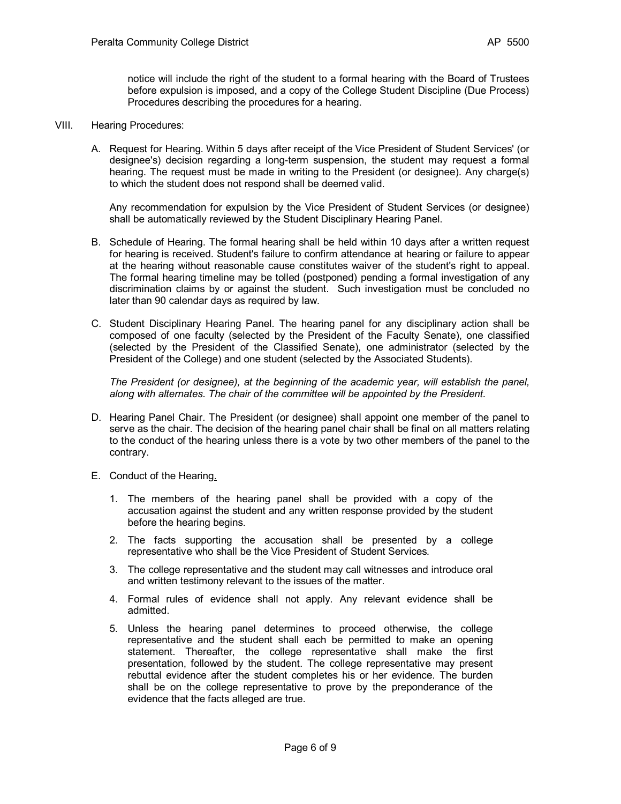notice will include the right of the student to a formal hearing with the Board of Trustees before expulsion is imposed, and a copy of the College Student Discipline (Due Process) Procedures describing the procedures for a hearing.

- VIII. Hearing Procedures:
	- A. Request for Hearing. Within 5 days after receipt of the Vice President of Student Services' (or designee's) decision regarding a long-term suspension, the student may request a formal hearing. The request must be made in writing to the President (or designee). Any charge(s) to which the student does not respond shall be deemed valid.

Any recommendation for expulsion by the Vice President of Student Services (or designee) shall be automatically reviewed by the Student Disciplinary Hearing Panel.

- B. Schedule of Hearing. The formal hearing shall be held within 10 days after a written request for hearing is received. Student's failure to confirm attendance at hearing or failure to appear at the hearing without reasonable cause constitutes waiver of the student's right to appeal. The formal hearing timeline may be tolled (postponed) pending a formal investigation of any discrimination claims by or against the student. Such investigation must be concluded no later than 90 calendar days as required by law.
- C. Student Disciplinary Hearing Panel. The hearing panel for any disciplinary action shall be composed of one faculty (selected by the President of the Faculty Senate), one classified (selected by the President of the Classified Senate), one administrator (selected by the President of the College) and one student (selected by the Associated Students).

*The President (or designee), at the beginning of the academic year, will establish the panel, along with alternates. The chair of the committee will be appointed by the President.*

- D. Hearing Panel Chair. The President (or designee) shall appoint one member of the panel to serve as the chair. The decision of the hearing panel chair shall be final on all matters relating to the conduct of the hearing unless there is a vote by two other members of the panel to the contrary.
- E. Conduct of the Hearing.
	- 1. The members of the hearing panel shall be provided with a copy of the accusation against the student and any written response provided by the student before the hearing begins.
	- 2. The facts supporting the accusation shall be presented by a college representative who shall be the Vice President of Student Services*.*
	- 3. The college representative and the student may call witnesses and introduce oral and written testimony relevant to the issues of the matter.
	- 4. Formal rules of evidence shall not apply. Any relevant evidence shall be admitted.
	- 5. Unless the hearing panel determines to proceed otherwise, the college representative and the student shall each be permitted to make an opening statement. Thereafter, the college representative shall make the first presentation, followed by the student. The college representative may present rebuttal evidence after the student completes his or her evidence. The burden shall be on the college representative to prove by the preponderance of the evidence that the facts alleged are true.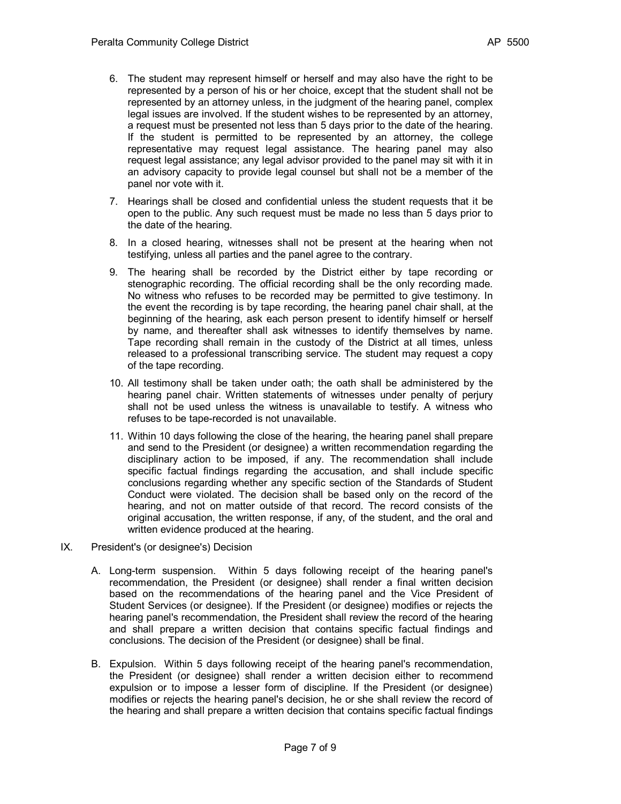- 6. The student may represent himself or herself and may also have the right to be represented by a person of his or her choice, except that the student shall not be represented by an attorney unless, in the judgment of the hearing panel, complex legal issues are involved. If the student wishes to be represented by an attorney, a request must be presented not less than 5 days prior to the date of the hearing. If the student is permitted to be represented by an attorney, the college representative may request legal assistance. The hearing panel may also request legal assistance; any legal advisor provided to the panel may sit with it in an advisory capacity to provide legal counsel but shall not be a member of the panel nor vote with it.
- 7. Hearings shall be closed and confidential unless the student requests that it be open to the public. Any such request must be made no less than 5 days prior to the date of the hearing.
- 8. In a closed hearing, witnesses shall not be present at the hearing when not testifying, unless all parties and the panel agree to the contrary.
- 9. The hearing shall be recorded by the District either by tape recording or stenographic recording. The official recording shall be the only recording made. No witness who refuses to be recorded may be permitted to give testimony. In the event the recording is by tape recording, the hearing panel chair shall, at the beginning of the hearing, ask each person present to identify himself or herself by name, and thereafter shall ask witnesses to identify themselves by name. Tape recording shall remain in the custody of the District at all times, unless released to a professional transcribing service. The student may request a copy of the tape recording.
- 10. All testimony shall be taken under oath; the oath shall be administered by the hearing panel chair. Written statements of witnesses under penalty of perjury shall not be used unless the witness is unavailable to testify. A witness who refuses to be tape-recorded is not unavailable.
- 11. Within 10 days following the close of the hearing, the hearing panel shall prepare and send to the President (or designee) a written recommendation regarding the disciplinary action to be imposed, if any. The recommendation shall include specific factual findings regarding the accusation, and shall include specific conclusions regarding whether any specific section of the Standards of Student Conduct were violated. The decision shall be based only on the record of the hearing, and not on matter outside of that record. The record consists of the original accusation, the written response, if any, of the student, and the oral and written evidence produced at the hearing.
- IX. President's (or designee's) Decision
	- A. Long-term suspension. Within 5 days following receipt of the hearing panel's recommendation, the President (or designee) shall render a final written decision based on the recommendations of the hearing panel and the Vice President of Student Services (or designee). If the President (or designee) modifies or rejects the hearing panel's recommendation, the President shall review the record of the hearing and shall prepare a written decision that contains specific factual findings and conclusions. The decision of the President (or designee) shall be final.
	- B. Expulsion. Within 5 days following receipt of the hearing panel's recommendation, the President (or designee) shall render a written decision either to recommend expulsion or to impose a lesser form of discipline. If the President (or designee) modifies or rejects the hearing panel's decision, he or she shall review the record of the hearing and shall prepare a written decision that contains specific factual findings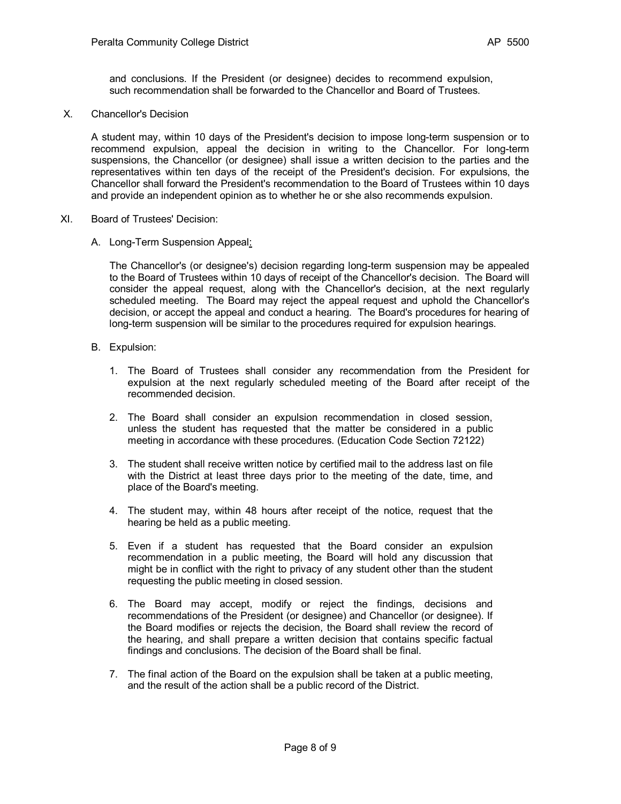and conclusions. If the President (or designee) decides to recommend expulsion, such recommendation shall be forwarded to the Chancellor and Board of Trustees.

X. Chancellor's Decision

A student may, within 10 days of the President's decision to impose long-term suspension or to recommend expulsion, appeal the decision in writing to the Chancellor. For long-term suspensions, the Chancellor (or designee) shall issue a written decision to the parties and the representatives within ten days of the receipt of the President's decision. For expulsions, the Chancellor shall forward the President's recommendation to the Board of Trustees within 10 days and provide an independent opinion as to whether he or she also recommends expulsion.

- XI. Board of Trustees' Decision:
	- A. Long-Term Suspension Appeal:

The Chancellor's (or designee's) decision regarding long-term suspension may be appealed to the Board of Trustees within 10 days of receipt of the Chancellor's decision. The Board will consider the appeal request, along with the Chancellor's decision, at the next regularly scheduled meeting. The Board may reject the appeal request and uphold the Chancellor's decision, or accept the appeal and conduct a hearing. The Board's procedures for hearing of long-term suspension will be similar to the procedures required for expulsion hearings.

- B. Expulsion:
	- 1. The Board of Trustees shall consider any recommendation from the President for expulsion at the next regularly scheduled meeting of the Board after receipt of the recommended decision.
	- 2. The Board shall consider an expulsion recommendation in closed session, unless the student has requested that the matter be considered in a public meeting in accordance with these procedures. (Education Code Section 72122)
	- 3. The student shall receive written notice by certified mail to the address last on file with the District at least three days prior to the meeting of the date, time, and place of the Board's meeting.
	- 4. The student may, within 48 hours after receipt of the notice, request that the hearing be held as a public meeting.
	- 5. Even if a student has requested that the Board consider an expulsion recommendation in a public meeting, the Board will hold any discussion that might be in conflict with the right to privacy of any student other than the student requesting the public meeting in closed session.
	- 6. The Board may accept, modify or reject the findings, decisions and recommendations of the President (or designee) and Chancellor (or designee). If the Board modifies or rejects the decision, the Board shall review the record of the hearing, and shall prepare a written decision that contains specific factual findings and conclusions. The decision of the Board shall be final.
	- 7. The final action of the Board on the expulsion shall be taken at a public meeting, and the result of the action shall be a public record of the District.